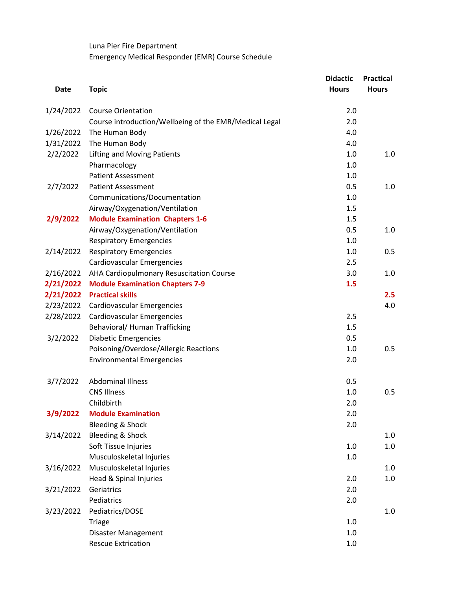Luna Pier Fire Department Emergency Medical Responder (EMR) Course Schedule

|             |                                                        | <b>Didactic</b> | <b>Practical</b> |
|-------------|--------------------------------------------------------|-----------------|------------------|
| <b>Date</b> | <b>Topic</b>                                           | <b>Hours</b>    | <b>Hours</b>     |
| 1/24/2022   | <b>Course Orientation</b>                              | 2.0             |                  |
|             | Course introduction/Wellbeing of the EMR/Medical Legal | 2.0             |                  |
| 1/26/2022   | The Human Body                                         | 4.0             |                  |
| 1/31/2022   | The Human Body                                         | 4.0             |                  |
| 2/2/2022    | <b>Lifting and Moving Patients</b>                     | 1.0             | 1.0              |
|             | Pharmacology                                           | 1.0             |                  |
|             | <b>Patient Assessment</b>                              | 1.0             |                  |
| 2/7/2022    | <b>Patient Assessment</b>                              | 0.5             | 1.0              |
|             | Communications/Documentation                           | 1.0             |                  |
|             | Airway/Oxygenation/Ventilation                         | 1.5             |                  |
| 2/9/2022    | <b>Module Examination Chapters 1-6</b>                 | 1.5             |                  |
|             | Airway/Oxygenation/Ventilation                         | 0.5             | 1.0              |
|             | <b>Respiratory Emergencies</b>                         | 1.0             |                  |
| 2/14/2022   | <b>Respiratory Emergencies</b>                         | 1.0             | 0.5              |
|             | <b>Cardiovascular Emergencies</b>                      | 2.5             |                  |
| 2/16/2022   | AHA Cardiopulmonary Resuscitation Course               | 3.0             | 1.0              |
|             | 2/21/2022 Module Examination Chapters 7-9              | 1.5             |                  |
|             | 2/21/2022 Practical skills                             |                 | 2.5              |
| 2/23/2022   | Cardiovascular Emergencies                             |                 | 4.0              |
| 2/28/2022   | Cardiovascular Emergencies                             | 2.5             |                  |
|             | Behavioral/ Human Trafficking                          | 1.5             |                  |
| 3/2/2022    | <b>Diabetic Emergencies</b>                            | 0.5             |                  |
|             | Poisoning/Overdose/Allergic Reactions                  | 1.0             | 0.5              |
|             | <b>Environmental Emergencies</b>                       | 2.0             |                  |
| 3/7/2022    | <b>Abdominal Illness</b>                               | 0.5             |                  |
|             | <b>CNS Illness</b>                                     | 1.0             | 0.5              |
|             | Childbirth                                             | 2.0             |                  |
| 3/9/2022    | <b>Module Examination</b>                              | 2.0             |                  |
|             | Bleeding & Shock                                       | 2.0             |                  |
| 3/14/2022   | Bleeding & Shock                                       |                 | 1.0              |
|             | Soft Tissue Injuries                                   | 1.0             | 1.0              |
|             | Musculoskeletal Injuries                               | 1.0             |                  |
| 3/16/2022   | Musculoskeletal Injuries                               |                 | 1.0              |
|             | Head & Spinal Injuries                                 | 2.0             | 1.0              |
| 3/21/2022   | Geriatrics                                             | 2.0             |                  |
|             | Pediatrics                                             | 2.0             |                  |
| 3/23/2022   | Pediatrics/DOSE                                        |                 | $1.0\,$          |
|             | <b>Triage</b>                                          | 1.0             |                  |
|             | Disaster Management                                    | 1.0             |                  |
|             | <b>Rescue Extrication</b>                              | 1.0             |                  |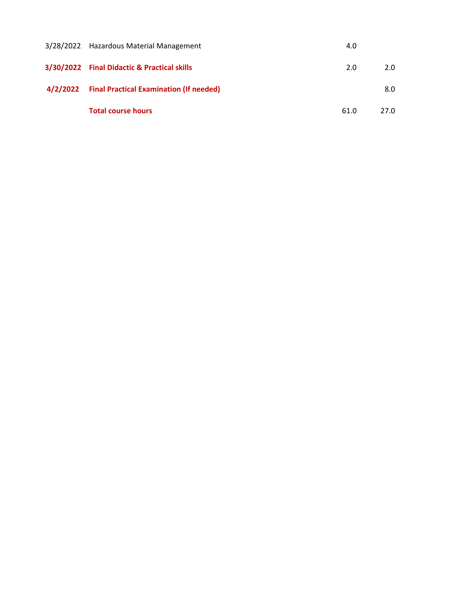| 3/28/2022 Hazardous Material Management          | 4.0  |      |
|--------------------------------------------------|------|------|
| 3/30/2022 Final Didactic & Practical skills      | 2.0  | 2.0  |
| 4/2/2022 Final Practical Examination (If needed) |      | 8.0  |
| <b>Total course hours</b>                        | 61.0 | 27.0 |